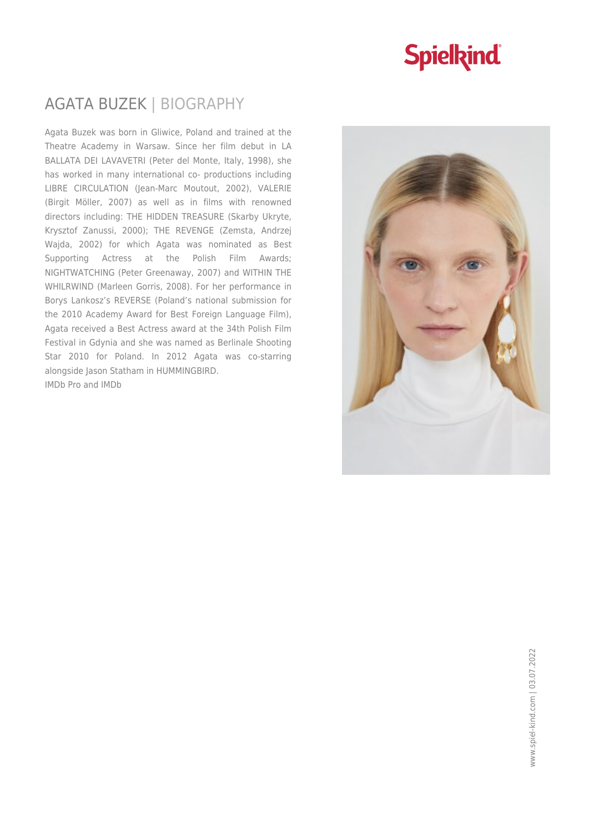### **Spielkind**

#### AGATA BUZEK | BIOGRAPHY

Agata Buzek was born in Gliwice, Poland and trained at the Theatre Academy in Warsaw. Since her film debut in LA BALLATA DEI LAVAVETRI (Peter del Monte, Italy, 1998), she has worked in many international co- productions including LIBRE CIRCULATION (Jean-Marc Moutout, 2002), VALERIE (Birgit Möller, 2007) as well as in films with renowned directors including: THE HIDDEN TREASURE (Skarby Ukryte, Krysztof Zanussi, 2000); THE REVENGE (Zemsta, Andrzej Wajda, 2002) for which Agata was nominated as Best Supporting Actress at the Polish Film Awards; NIGHTWATCHING (Peter Greenaway, 2007) and WITHIN THE WHILRWIND (Marleen Gorris, 2008). For her performance in Borys Lankosz's REVERSE (Poland's national submission for the 2010 Academy Award for Best Foreign Language Film), Agata received a Best Actress award at the 34th Polish Film Festival in Gdynia and she was named as Berlinale Shooting Star 2010 for Poland. In 2012 Agata was co-starring alongside Jason Statham in HUMMINGBIRD. IMDb Pro and IMDb

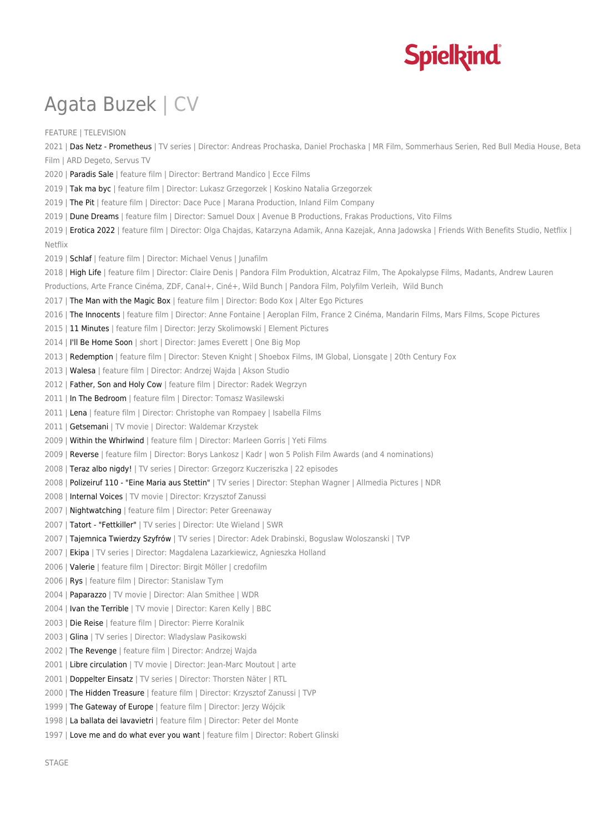# **Spielkind**

## Agata Buzek | CV

FEATURE | TELEVISION 2021 | Das Netz - Prometheus | TV series | Director: Andreas Prochaska, Daniel Prochaska | MR Film, Sommerhaus Serien, Red Bull Media House, Beta Film | ARD Degeto, Servus TV 2020 | Paradis Sale | feature film | Director: Bertrand Mandico | Ecce Films 2019 | Tak ma byc | feature film | Director: Lukasz Grzegorzek | Koskino Natalia Grzegorzek 2019 | The Pit | feature film | Director: Dace Puce | Marana Production, Inland Film Company 2019 | Dune Dreams | feature film | Director: Samuel Doux | Avenue B Productions, Frakas Productions, Vito Films 2019 | Erotica 2022 | feature film | Director: Olga Chajdas, Katarzyna Adamik, Anna Kazejak, Anna Jadowska | Friends With Benefits Studio, Netflix | Netflix 2019 | Schlaf | feature film | Director: Michael Venus | Junafilm 2018 | High Life | feature film | Director: Claire Denis | Pandora Film Produktion, Alcatraz Film, The Apokalypse Films, Madants, Andrew Lauren Productions, Arte France Cinéma, ZDF, Canal+, Ciné+, Wild Bunch | Pandora Film, Polyfilm Verleih, Wild Bunch 2017 | The Man with the Magic Box | feature film | Director: Bodo Kox | Alter Ego Pictures 2016 | The Innocents | feature film | Director: Anne Fontaine | Aeroplan Film, France 2 Cinéma, Mandarin Films, Mars Films, Scope Pictures 2015 | 11 Minutes | feature film | Director: Jerzy Skolimowski | Element Pictures 2014 | I'll Be Home Soon | short | Director: James Everett | One Big Mop 2013 | Redemption | feature film | Director: Steven Knight | Shoebox Films, IM Global, Lionsgate | 20th Century Fox 2013 | Walesa | feature film | Director: Andrzej Wajda | Akson Studio 2012 | Father, Son and Holy Cow | feature film | Director: Radek Wegrzyn 2011 | In The Bedroom | feature film | Director: Tomasz Wasilewski 2011 | Lena | feature film | Director: Christophe van Rompaey | Isabella Films 2011 | Getsemani | TV movie | Director: Waldemar Krzystek 2009 | Within the Whirlwind | feature film | Director: Marleen Gorris | Yeti Films 2009 | Reverse | feature film | Director: Borys Lankosz | Kadr | won 5 Polish Film Awards (and 4 nominations) 2008 | Teraz albo nigdy! | TV series | Director: Grzegorz Kuczeriszka | 22 episodes 2008 | Polizeiruf 110 - "Eine Maria aus Stettin" | TV series | Director: Stephan Wagner | Allmedia Pictures | NDR 2008 | Internal Voices | TV movie | Director: Krzysztof Zanussi 2007 | Nightwatching | feature film | Director: Peter Greenaway 2007 | Tatort - "Fettkiller" | TV series | Director: Ute Wieland | SWR 2007 | Tajemnica Twierdzy Szyfrów | TV series | Director: Adek Drabinski, Boguslaw Woloszanski | TVP 2007 | Ekipa | TV series | Director: Magdalena Lazarkiewicz, Agnieszka Holland 2006 | Valerie | feature film | Director: Birgit Möller | credofilm 2006 | Rys | feature film | Director: Stanislaw Tym 2004 | Paparazzo | TV movie | Director: Alan Smithee | WDR 2004 | Ivan the Terrible | TV movie | Director: Karen Kelly | BBC 2003 | Die Reise | feature film | Director: Pierre Koralnik 2003 | Glina | TV series | Director: Wladyslaw Pasikowski 2002 | The Revenge | feature film | Director: Andrzej Wajda 2001 | Libre circulation | TV movie | Director: Jean-Marc Moutout | arte 2001 | Doppelter Einsatz | TV series | Director: Thorsten Näter | RTL 2000 | The Hidden Treasure | feature film | Director: Krzysztof Zanussi | TVP 1999 | The Gateway of Europe | feature film | Director: Jerzy Wójcik 1998 | La ballata dei lavavietri | feature film | Director: Peter del Monte 1997 | Love me and do what ever you want | feature film | Director: Robert Glinski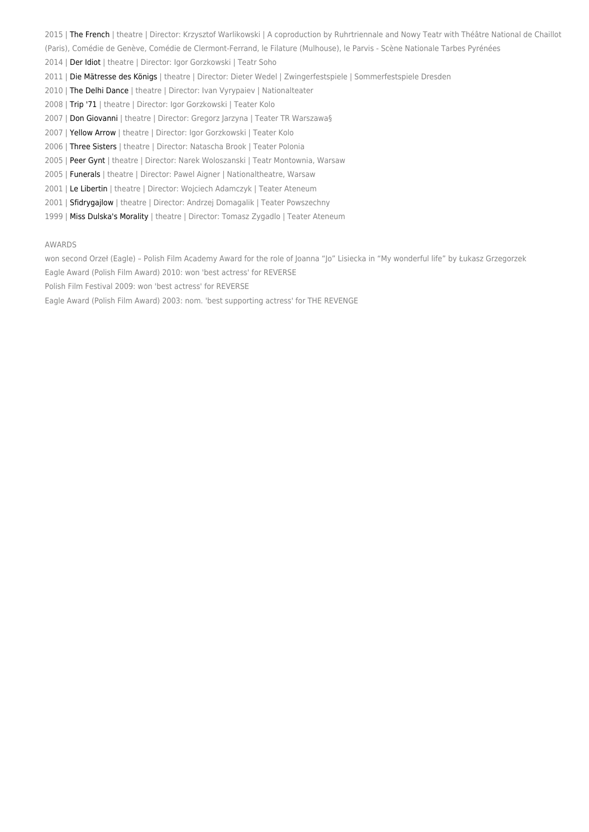- 2015 | The French | theatre | Director: Krzysztof Warlikowski | A coproduction by Ruhrtriennale and Nowy Teatr with Théâtre National de Chaillot
- (Paris), Comédie de Genève, Comédie de Clermont-Ferrand, le Filature (Mulhouse), le Parvis Scène Nationale Tarbes Pyrénées
- 2014 | Der Idiot | theatre | Director: Igor Gorzkowski | Teatr Soho
- 2011 | Die Mätresse des Königs | theatre | Director: Dieter Wedel | Zwingerfestspiele | Sommerfestspiele Dresden
- 2010 | The Delhi Dance | theatre | Director: Ivan Vyrypaiev | Nationalteater
- 2008 | Trip '71 | theatre | Director: Igor Gorzkowski | Teater Kolo
- 2007 | Don Giovanni | theatre | Director: Gregorz Jarzyna | Teater TR Warszawa§
- 2007 | Yellow Arrow | theatre | Director: Igor Gorzkowski | Teater Kolo
- 2006 | Three Sisters | theatre | Director: Natascha Brook | Teater Polonia
- 2005 | Peer Gynt | theatre | Director: Narek Woloszanski | Teatr Montownia, Warsaw
- 2005 | Funerals | theatre | Director: Pawel Aigner | Nationaltheatre, Warsaw
- 2001 | Le Libertin | theatre | Director: Wojciech Adamczyk | Teater Ateneum
- 2001 | Sfidrygailow | theatre | Director: Andrzei Domagalik | Teater Powszechny
- 1999 | Miss Dulska's Morality | theatre | Director: Tomasz Zygadlo | Teater Ateneum

#### AWARDS

won second Orzeł (Eagle) – Polish Film Academy Award for the role of Joanna "Jo" Lisiecka in "My wonderful life" by Łukasz Grzegorzek Eagle Award (Polish Film Award) 2010: won 'best actress' for REVERSE

Polish Film Festival 2009: won 'best actress' for REVERSE

Eagle Award (Polish Film Award) 2003: nom. 'best supporting actress' for THE REVENGE